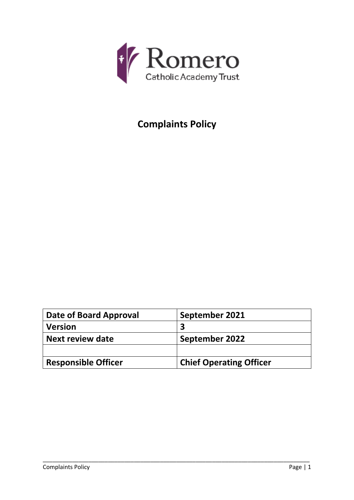

# **Complaints Policy**

| Date of Board Approval     | September 2021                 |
|----------------------------|--------------------------------|
| <b>Version</b>             |                                |
| Next review date           | September 2022                 |
|                            |                                |
| <b>Responsible Officer</b> | <b>Chief Operating Officer</b> |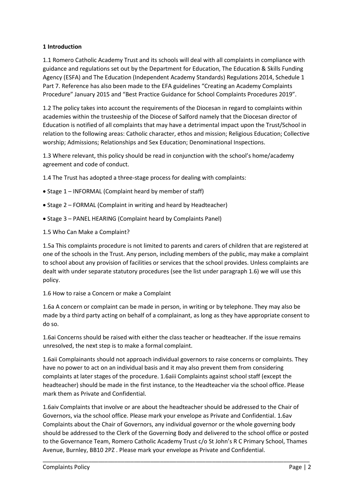# **1 Introduction**

1.1 Romero Catholic Academy Trust and its schools will deal with all complaints in compliance with guidance and regulations set out by the Department for Education, The Education & Skills Funding Agency (ESFA) and The Education (Independent Academy Standards) Regulations 2014, Schedule 1 Part 7. Reference has also been made to the EFA guidelines "Creating an Academy Complaints Procedure" January 2015 and "Best Practice Guidance for School Complaints Procedures 2019".

1.2 The policy takes into account the requirements of the Diocesan in regard to complaints within academies within the trusteeship of the Diocese of Salford namely that the Diocesan director of Education is notified of all complaints that may have a detrimental impact upon the Trust/School in relation to the following areas: Catholic character, ethos and mission; Religious Education; Collective worship; Admissions; Relationships and Sex Education; Denominational Inspections.

1.3 Where relevant, this policy should be read in conjunction with the school's home/academy agreement and code of conduct.

1.4 The Trust has adopted a three-stage process for dealing with complaints:

- Stage 1 INFORMAL (Complaint heard by member of staff)
- Stage 2 FORMAL (Complaint in writing and heard by Headteacher)
- Stage 3 PANEL HEARING (Complaint heard by Complaints Panel)
- 1.5 Who Can Make a Complaint?

1.5a This complaints procedure is not limited to parents and carers of children that are registered at one of the schools in the Trust. Any person, including members of the public, may make a complaint to school about any provision of facilities or services that the school provides. Unless complaints are dealt with under separate statutory procedures (see the list under paragraph 1.6) we will use this policy.

1.6 How to raise a Concern or make a Complaint

1.6a A concern or complaint can be made in person, in writing or by telephone. They may also be made by a third party acting on behalf of a complainant, as long as they have appropriate consent to do so.

1.6ai Concerns should be raised with either the class teacher or headteacher. If the issue remains unresolved, the next step is to make a formal complaint.

1.6aii Complainants should not approach individual governors to raise concerns or complaints. They have no power to act on an individual basis and it may also prevent them from considering complaints at later stages of the procedure. 1.6aiii Complaints against school staff (except the headteacher) should be made in the first instance, to the Headteacher via the school office. Please mark them as Private and Confidential.

1.6aiv Complaints that involve or are about the headteacher should be addressed to the Chair of Governors, via the school office. Please mark your envelope as Private and Confidential. 1.6av Complaints about the Chair of Governors, any individual governor or the whole governing body should be addressed to the Clerk of the Governing Body and delivered to the school office or posted to the Governance Team, Romero Catholic Academy Trust c/o St John's R C Primary School, Thames Avenue, Burnley, BB10 2PZ . Please mark your envelope as Private and Confidential.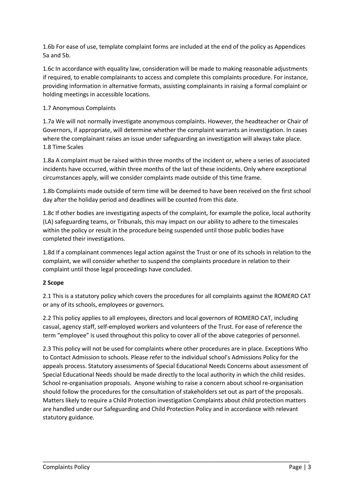1.6b For ease of use, template complaint forms are included at the end of the policy as Appendices 5a and 5b.

1.6c In accordance with equality law, consideration will be made to making reasonable adjustments if required, to enable complainants to access and complete this complaints procedure. For instance, providing information in alternative formats, assisting complainants in raising a formal complaint or holding meetings in accessible locations.

# 1.7 Anonymous Complaints

1.7a We will not normally investigate anonymous complaints. However, the headteacher or Chair of Governors, if appropriate, will determine whether the complaint warrants an investigation. In cases where the complainant raises an issue under safeguarding an investigation will always take place. 1.8 Time Scales

1.8a A complaint must be raised within three months of the incident or, where a series of associated incidents have occurred, within three months of the last of these incidents. Only where exceptional circumstances apply, will we consider complaints made outside of this time frame.

1.8b Complaints made outside of term time will be deemed to have been received on the first school day after the holiday period and deadlines will be counted from this date.

1.8c If other bodies are investigating aspects of the complaint, for example the police, local authority (LA) safeguarding teams, or Tribunals, this may impact on our ability to adhere to the timescales within the policy or result in the procedure being suspended until those public bodies have completed their investigations.

1.8d If a complainant commences legal action against the Trust or one of its schools in relation to the complaint, we will consider whether to suspend the complaints procedure in relation to their complaint until those legal proceedings have concluded.

# **2 Scope**

2.1 This is a statutory policy which covers the procedures for all complaints against the ROMERO CAT or any of its schools, employees or governors.

2.2 This policy applies to all employees, directors and local governors of ROMERO CAT, including casual, agency staff, self-employed workers and volunteers of the Trust. For ease of reference the term "employee" is used throughout this policy to cover all of the above categories of personnel.

2.3 This policy will not be used for complaints where other procedures are in place. Exceptions Who to Contact Admission to schools. Please refer to the individual school's Admissions Policy for the appeals process. Statutory assessments of Special Educational Needs Concerns about assessment of Special Educational Needs should be made directly to the local authority in which the child resides. School re-organisation proposals. Anyone wishing to raise a concern about school re-organisation should follow the procedures for the consultation of stakeholders set out as part of the proposals. Matters likely to require a Child Protection investigation Complaints about child protection matters are handled under our Safeguarding and Child Protection Policy and in accordance with relevant statutory guidance.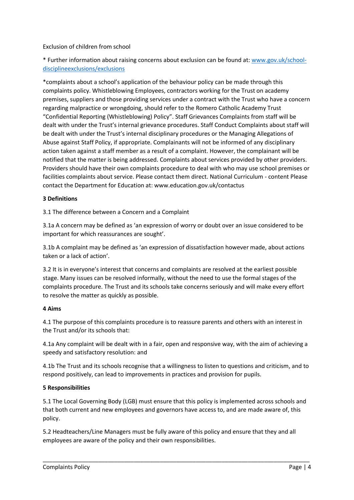# Exclusion of children from school

\* Further information about raising concerns about exclusion can be found at: [www.gov.uk/school](http://www.gov.uk/school-disciplineexclusions/exclusions)[disciplineexclusions/exclusions](http://www.gov.uk/school-disciplineexclusions/exclusions)

\*complaints about a school's application of the behaviour policy can be made through this complaints policy. Whistleblowing Employees, contractors working for the Trust on academy premises, suppliers and those providing services under a contract with the Trust who have a concern regarding malpractice or wrongdoing, should refer to the Romero Catholic Academy Trust "Confidential Reporting (Whistleblowing) Policy". Staff Grievances Complaints from staff will be dealt with under the Trust's internal grievance procedures. Staff Conduct Complaints about staff will be dealt with under the Trust's internal disciplinary procedures or the Managing Allegations of Abuse against Staff Policy, if appropriate. Complainants will not be informed of any disciplinary action taken against a staff member as a result of a complaint. However, the complainant will be notified that the matter is being addressed. Complaints about services provided by other providers. Providers should have their own complaints procedure to deal with who may use school premises or facilities complaints about service. Please contact them direct. National Curriculum - content Please contact the Department for Education at: www.education.gov.uk/contactus

## **3 Definitions**

3.1 The difference between a Concern and a Complaint

3.1a A concern may be defined as 'an expression of worry or doubt over an issue considered to be important for which reassurances are sought'.

3.1b A complaint may be defined as 'an expression of dissatisfaction however made, about actions taken or a lack of action'.

3.2 It is in everyone's interest that concerns and complaints are resolved at the earliest possible stage. Many issues can be resolved informally, without the need to use the formal stages of the complaints procedure. The Trust and its schools take concerns seriously and will make every effort to resolve the matter as quickly as possible.

## **4 Aims**

4.1 The purpose of this complaints procedure is to reassure parents and others with an interest in the Trust and/or its schools that:

4.1a Any complaint will be dealt with in a fair, open and responsive way, with the aim of achieving a speedy and satisfactory resolution: and

4.1b The Trust and its schools recognise that a willingness to listen to questions and criticism, and to respond positively, can lead to improvements in practices and provision for pupils.

#### **5 Responsibilities**

5.1 The Local Governing Body (LGB) must ensure that this policy is implemented across schools and that both current and new employees and governors have access to, and are made aware of, this policy.

5.2 Headteachers/Line Managers must be fully aware of this policy and ensure that they and all employees are aware of the policy and their own responsibilities.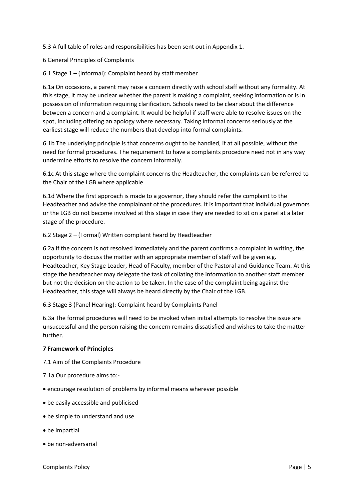5.3 A full table of roles and responsibilities has been sent out in Appendix 1.

6 General Principles of Complaints

6.1 Stage 1 – (Informal): Complaint heard by staff member

6.1a On occasions, a parent may raise a concern directly with school staff without any formality. At this stage, it may be unclear whether the parent is making a complaint, seeking information or is in possession of information requiring clarification. Schools need to be clear about the difference between a concern and a complaint. It would be helpful if staff were able to resolve issues on the spot, including offering an apology where necessary. Taking informal concerns seriously at the earliest stage will reduce the numbers that develop into formal complaints.

6.1b The underlying principle is that concerns ought to be handled, if at all possible, without the need for formal procedures. The requirement to have a complaints procedure need not in any way undermine efforts to resolve the concern informally.

6.1c At this stage where the complaint concerns the Headteacher, the complaints can be referred to the Chair of the LGB where applicable.

6.1d Where the first approach is made to a governor, they should refer the complaint to the Headteacher and advise the complainant of the procedures. It is important that individual governors or the LGB do not become involved at this stage in case they are needed to sit on a panel at a later stage of the procedure.

6.2 Stage 2 – (Formal) Written complaint heard by Headteacher

6.2a If the concern is not resolved immediately and the parent confirms a complaint in writing, the opportunity to discuss the matter with an appropriate member of staff will be given e.g. Headteacher, Key Stage Leader, Head of Faculty, member of the Pastoral and Guidance Team. At this stage the headteacher may delegate the task of collating the information to another staff member but not the decision on the action to be taken. In the case of the complaint being against the Headteacher, this stage will always be heard directly by the Chair of the LGB.

6.3 Stage 3 (Panel Hearing): Complaint heard by Complaints Panel

6.3a The formal procedures will need to be invoked when initial attempts to resolve the issue are unsuccessful and the person raising the concern remains dissatisfied and wishes to take the matter further.

\_\_\_\_\_\_\_\_\_\_\_\_\_\_\_\_\_\_\_\_\_\_\_\_\_\_\_\_\_\_\_\_\_\_\_\_\_\_\_\_\_\_\_\_\_\_\_\_\_\_\_\_\_\_\_\_\_\_\_\_\_\_\_\_\_\_\_\_\_\_\_\_\_\_\_\_\_\_\_\_\_\_

# **7 Framework of Principles**

7.1 Aim of the Complaints Procedure

- 7.1a Our procedure aims to:-
- encourage resolution of problems by informal means wherever possible
- be easily accessible and publicised
- be simple to understand and use
- be impartial
- be non-adversarial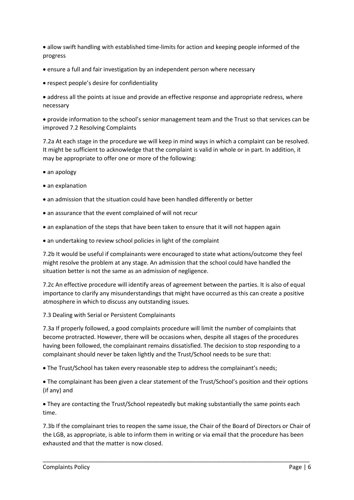allow swift handling with established time-limits for action and keeping people informed of the progress

- ensure a full and fair investigation by an independent person where necessary
- respect people's desire for confidentiality

 address all the points at issue and provide an effective response and appropriate redress, where necessary

 provide information to the school's senior management team and the Trust so that services can be improved 7.2 Resolving Complaints

7.2a At each stage in the procedure we will keep in mind ways in which a complaint can be resolved. It might be sufficient to acknowledge that the complaint is valid in whole or in part. In addition, it may be appropriate to offer one or more of the following:

- an apology
- an explanation
- an admission that the situation could have been handled differently or better
- an assurance that the event complained of will not recur
- an explanation of the steps that have been taken to ensure that it will not happen again
- an undertaking to review school policies in light of the complaint

7.2b It would be useful if complainants were encouraged to state what actions/outcome they feel might resolve the problem at any stage. An admission that the school could have handled the situation better is not the same as an admission of negligence.

7.2c An effective procedure will identify areas of agreement between the parties. It is also of equal importance to clarify any misunderstandings that might have occurred as this can create a positive atmosphere in which to discuss any outstanding issues.

7.3 Dealing with Serial or Persistent Complainants

7.3a If properly followed, a good complaints procedure will limit the number of complaints that become protracted. However, there will be occasions when, despite all stages of the procedures having been followed, the complainant remains dissatisfied. The decision to stop responding to a complainant should never be taken lightly and the Trust/School needs to be sure that:

The Trust/School has taken every reasonable step to address the complainant's needs;

 The complainant has been given a clear statement of the Trust/School's position and their options (if any) and

 They are contacting the Trust/School repeatedly but making substantially the same points each time.

7.3b If the complainant tries to reopen the same issue, the Chair of the Board of Directors or Chair of the LGB, as appropriate, is able to inform them in writing or via email that the procedure has been exhausted and that the matter is now closed.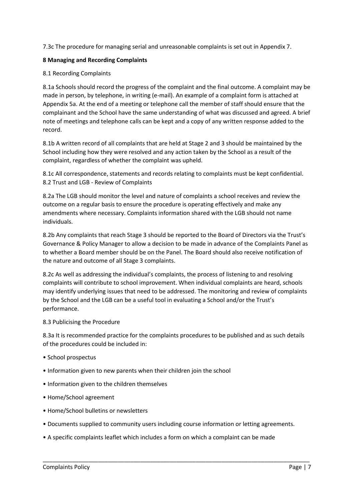7.3c The procedure for managing serial and unreasonable complaints is set out in Appendix 7.

## **8 Managing and Recording Complaints**

### 8.1 Recording Complaints

8.1a Schools should record the progress of the complaint and the final outcome. A complaint may be made in person, by telephone, in writing (e-mail). An example of a complaint form is attached at Appendix 5a. At the end of a meeting or telephone call the member of staff should ensure that the complainant and the School have the same understanding of what was discussed and agreed. A brief note of meetings and telephone calls can be kept and a copy of any written response added to the record.

8.1b A written record of all complaints that are held at Stage 2 and 3 should be maintained by the School including how they were resolved and any action taken by the School as a result of the complaint, regardless of whether the complaint was upheld.

8.1c All correspondence, statements and records relating to complaints must be kept confidential. 8.2 Trust and LGB - Review of Complaints

8.2a The LGB should monitor the level and nature of complaints a school receives and review the outcome on a regular basis to ensure the procedure is operating effectively and make any amendments where necessary. Complaints information shared with the LGB should not name individuals.

8.2b Any complaints that reach Stage 3 should be reported to the Board of Directors via the Trust's Governance & Policy Manager to allow a decision to be made in advance of the Complaints Panel as to whether a Board member should be on the Panel. The Board should also receive notification of the nature and outcome of all Stage 3 complaints.

8.2c As well as addressing the individual's complaints, the process of listening to and resolving complaints will contribute to school improvement. When individual complaints are heard, schools may identify underlying issues that need to be addressed. The monitoring and review of complaints by the School and the LGB can be a useful tool in evaluating a School and/or the Trust's performance.

#### 8.3 Publicising the Procedure

8.3a It is recommended practice for the complaints procedures to be published and as such details of the procedures could be included in:

- School prospectus
- Information given to new parents when their children join the school
- Information given to the children themselves
- Home/School agreement
- Home/School bulletins or newsletters
- Documents supplied to community users including course information or letting agreements.

\_\_\_\_\_\_\_\_\_\_\_\_\_\_\_\_\_\_\_\_\_\_\_\_\_\_\_\_\_\_\_\_\_\_\_\_\_\_\_\_\_\_\_\_\_\_\_\_\_\_\_\_\_\_\_\_\_\_\_\_\_\_\_\_\_\_\_\_\_\_\_\_\_\_\_\_\_\_\_\_\_\_

• A specific complaints leaflet which includes a form on which a complaint can be made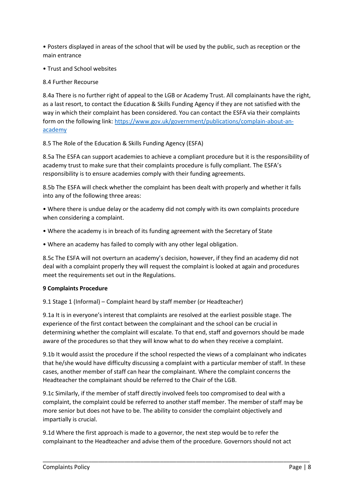• Posters displayed in areas of the school that will be used by the public, such as reception or the main entrance

• Trust and School websites

8.4 Further Recourse

8.4a There is no further right of appeal to the LGB or Academy Trust. All complainants have the right, as a last resort, to contact the Education & Skills Funding Agency if they are not satisfied with the way in which their complaint has been considered. You can contact the ESFA via their complaints form on the following link: [https://www.gov.uk/government/publications/complain-about-an](https://www.gov.uk/government/publications/complain-about-an-academy)[academy](https://www.gov.uk/government/publications/complain-about-an-academy)

8.5 The Role of the Education & Skills Funding Agency (ESFA)

8.5a The ESFA can support academies to achieve a compliant procedure but it is the responsibility of academy trust to make sure that their complaints procedure is fully compliant. The ESFA's responsibility is to ensure academies comply with their funding agreements.

8.5b The ESFA will check whether the complaint has been dealt with properly and whether it falls into any of the following three areas:

• Where there is undue delay or the academy did not comply with its own complaints procedure when considering a complaint.

- Where the academy is in breach of its funding agreement with the Secretary of State
- Where an academy has failed to comply with any other legal obligation.

8.5c The ESFA will not overturn an academy's decision, however, if they find an academy did not deal with a complaint properly they will request the complaint is looked at again and procedures meet the requirements set out in the Regulations.

# **9 Complaints Procedure**

9.1 Stage 1 (Informal) – Complaint heard by staff member (or Headteacher)

9.1a It is in everyone's interest that complaints are resolved at the earliest possible stage. The experience of the first contact between the complainant and the school can be crucial in determining whether the complaint will escalate. To that end, staff and governors should be made aware of the procedures so that they will know what to do when they receive a complaint.

9.1b It would assist the procedure if the school respected the views of a complainant who indicates that he/she would have difficulty discussing a complaint with a particular member of staff. In these cases, another member of staff can hear the complainant. Where the complaint concerns the Headteacher the complainant should be referred to the Chair of the LGB.

9.1c Similarly, if the member of staff directly involved feels too compromised to deal with a complaint, the complaint could be referred to another staff member. The member of staff may be more senior but does not have to be. The ability to consider the complaint objectively and impartially is crucial.

9.1d Where the first approach is made to a governor, the next step would be to refer the complainant to the Headteacher and advise them of the procedure. Governors should not act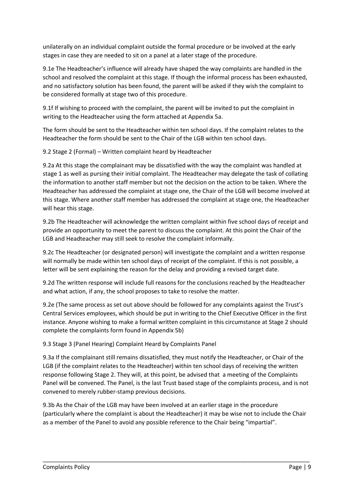unilaterally on an individual complaint outside the formal procedure or be involved at the early stages in case they are needed to sit on a panel at a later stage of the procedure.

9.1e The Headteacher's influence will already have shaped the way complaints are handled in the school and resolved the complaint at this stage. If though the informal process has been exhausted, and no satisfactory solution has been found, the parent will be asked if they wish the complaint to be considered formally at stage two of this procedure.

9.1f If wishing to proceed with the complaint, the parent will be invited to put the complaint in writing to the Headteacher using the form attached at Appendix 5a.

The form should be sent to the Headteacher within ten school days. If the complaint relates to the Headteacher the form should be sent to the Chair of the LGB within ten school days.

9.2 Stage 2 (Formal) – Written complaint heard by Headteacher

9.2a At this stage the complainant may be dissatisfied with the way the complaint was handled at stage 1 as well as pursing their initial complaint. The Headteacher may delegate the task of collating the information to another staff member but not the decision on the action to be taken. Where the Headteacher has addressed the complaint at stage one, the Chair of the LGB will become involved at this stage. Where another staff member has addressed the complaint at stage one, the Headteacher will hear this stage.

9.2b The Headteacher will acknowledge the written complaint within five school days of receipt and provide an opportunity to meet the parent to discuss the complaint. At this point the Chair of the LGB and Headteacher may still seek to resolve the complaint informally.

9.2c The Headteacher (or designated person) will investigate the complaint and a written response will normally be made within ten school days of receipt of the complaint. If this is not possible, a letter will be sent explaining the reason for the delay and providing a revised target date.

9.2d The written response will include full reasons for the conclusions reached by the Headteacher and what action, if any, the school proposes to take to resolve the matter.

9.2e (The same process as set out above should be followed for any complaints against the Trust's Central Services employees, which should be put in writing to the Chief Executive Officer in the first instance. Anyone wishing to make a formal written complaint in this circumstance at Stage 2 should complete the complaints form found in Appendix 5b)

9.3 Stage 3 (Panel Hearing) Complaint Heard by Complaints Panel

9.3a If the complainant still remains dissatisfied, they must notify the Headteacher, or Chair of the LGB (if the complaint relates to the Headteacher) within ten school days of receiving the written response following Stage 2. They will, at this point, be advised that a meeting of the Complaints Panel will be convened. The Panel, is the last Trust based stage of the complaints process, and is not convened to merely rubber-stamp previous decisions.

9.3b As the Chair of the LGB may have been involved at an earlier stage in the procedure (particularly where the complaint is about the Headteacher) it may be wise not to include the Chair as a member of the Panel to avoid any possible reference to the Chair being "impartial".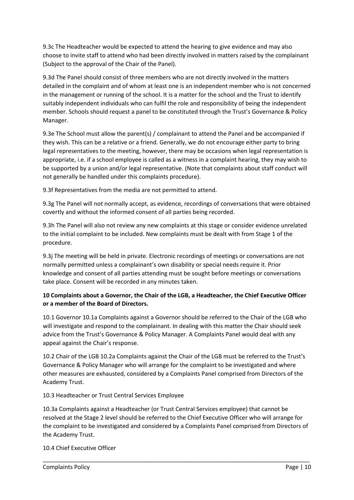9.3c The Headteacher would be expected to attend the hearing to give evidence and may also choose to invite staff to attend who had been directly involved in matters raised by the complainant (Subject to the approval of the Chair of the Panel).

9.3d The Panel should consist of three members who are not directly involved in the matters detailed in the complaint and of whom at least one is an independent member who is not concerned in the management or running of the school. It is a matter for the school and the Trust to identify suitably independent individuals who can fulfil the role and responsibility of being the independent member. Schools should request a panel to be constituted through the Trust's Governance & Policy Manager.

9.3e The School must allow the parent(s) / complainant to attend the Panel and be accompanied if they wish. This can be a relative or a friend. Generally, we do not encourage either party to bring legal representatives to the meeting, however, there may be occasions when legal representation is appropriate, i.e. if a school employee is called as a witness in a complaint hearing, they may wish to be supported by a union and/or legal representative. (Note that complaints about staff conduct will not generally be handled under this complaints procedure).

9.3f Representatives from the media are not permitted to attend.

9.3g The Panel will not normally accept, as evidence, recordings of conversations that were obtained covertly and without the informed consent of all parties being recorded.

9.3h The Panel will also not review any new complaints at this stage or consider evidence unrelated to the initial complaint to be included. New complaints must be dealt with from Stage 1 of the procedure.

9.3j The meeting will be held in private. Electronic recordings of meetings or conversations are not normally permitted unless a complainant's own disability or special needs require it. Prior knowledge and consent of all parties attending must be sought before meetings or conversations take place. Consent will be recorded in any minutes taken.

# **10 Complaints about a Governor, the Chair of the LGB, a Headteacher, the Chief Executive Officer or a member of the Board of Directors.**

10.1 Governor 10.1a Complaints against a Governor should be referred to the Chair of the LGB who will investigate and respond to the complainant. In dealing with this matter the Chair should seek advice from the Trust's Governance & Policy Manager. A Complaints Panel would deal with any appeal against the Chair's response.

10.2 Chair of the LGB 10.2a Complaints against the Chair of the LGB must be referred to the Trust's Governance & Policy Manager who will arrange for the complaint to be investigated and where other measures are exhausted, considered by a Complaints Panel comprised from Directors of the Academy Trust.

10.3 Headteacher or Trust Central Services Employee

10.3a Complaints against a Headteacher (or Trust Central Services employee) that cannot be resolved at the Stage 2 level should be referred to the Chief Executive Officer who will arrange for the complaint to be investigated and considered by a Complaints Panel comprised from Directors of the Academy Trust.

\_\_\_\_\_\_\_\_\_\_\_\_\_\_\_\_\_\_\_\_\_\_\_\_\_\_\_\_\_\_\_\_\_\_\_\_\_\_\_\_\_\_\_\_\_\_\_\_\_\_\_\_\_\_\_\_\_\_\_\_\_\_\_\_\_\_\_\_\_\_\_\_\_\_\_\_\_\_\_\_\_\_

10.4 Chief Executive Officer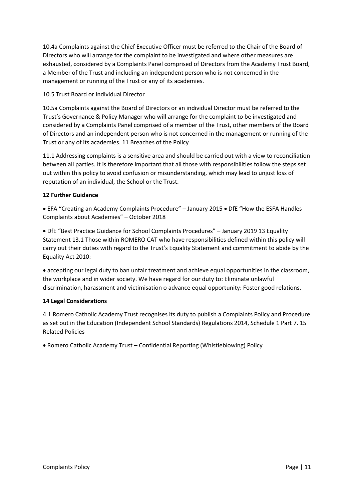10.4a Complaints against the Chief Executive Officer must be referred to the Chair of the Board of Directors who will arrange for the complaint to be investigated and where other measures are exhausted, considered by a Complaints Panel comprised of Directors from the Academy Trust Board, a Member of the Trust and including an independent person who is not concerned in the management or running of the Trust or any of its academies.

# 10.5 Trust Board or Individual Director

10.5a Complaints against the Board of Directors or an individual Director must be referred to the Trust's Governance & Policy Manager who will arrange for the complaint to be investigated and considered by a Complaints Panel comprised of a member of the Trust, other members of the Board of Directors and an independent person who is not concerned in the management or running of the Trust or any of its academies. 11 Breaches of the Policy

11.1 Addressing complaints is a sensitive area and should be carried out with a view to reconciliation between all parties. It is therefore important that all those with responsibilities follow the steps set out within this policy to avoid confusion or misunderstanding, which may lead to unjust loss of reputation of an individual, the School or the Trust.

# **12 Further Guidance**

• EFA "Creating an Academy Complaints Procedure" – January 2015 • DfE "How the ESFA Handles Complaints about Academies" – October 2018

 DfE "Best Practice Guidance for School Complaints Procedures" – January 2019 13 Equality Statement 13.1 Those within ROMERO CAT who have responsibilities defined within this policy will carry out their duties with regard to the Trust's Equality Statement and commitment to abide by the Equality Act 2010:

 accepting our legal duty to ban unfair treatment and achieve equal opportunities in the classroom, the workplace and in wider society. We have regard for our duty to: Eliminate unlawful discrimination, harassment and victimisation o advance equal opportunity: Foster good relations.

# **14 Legal Considerations**

4.1 Romero Catholic Academy Trust recognises its duty to publish a Complaints Policy and Procedure as set out in the Education (Independent School Standards) Regulations 2014, Schedule 1 Part 7. 15 Related Policies

\_\_\_\_\_\_\_\_\_\_\_\_\_\_\_\_\_\_\_\_\_\_\_\_\_\_\_\_\_\_\_\_\_\_\_\_\_\_\_\_\_\_\_\_\_\_\_\_\_\_\_\_\_\_\_\_\_\_\_\_\_\_\_\_\_\_\_\_\_\_\_\_\_\_\_\_\_\_\_\_\_\_

Romero Catholic Academy Trust – Confidential Reporting (Whistleblowing) Policy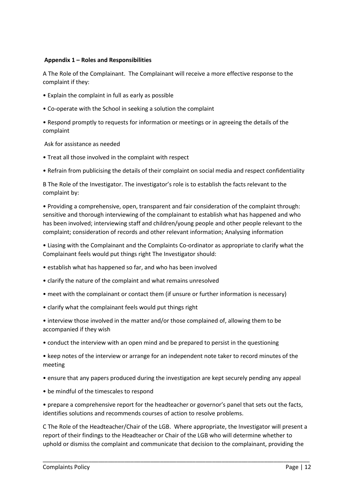### **Appendix 1 – Roles and Responsibilities**

A The Role of the Complainant. The Complainant will receive a more effective response to the complaint if they:

- Explain the complaint in full as early as possible
- Co-operate with the School in seeking a solution the complaint

• Respond promptly to requests for information or meetings or in agreeing the details of the complaint

Ask for assistance as needed

- Treat all those involved in the complaint with respect
- Refrain from publicising the details of their complaint on social media and respect confidentiality

B The Role of the Investigator. The investigator's role is to establish the facts relevant to the complaint by:

• Providing a comprehensive, open, transparent and fair consideration of the complaint through: sensitive and thorough interviewing of the complainant to establish what has happened and who has been involved; interviewing staff and children/young people and other people relevant to the complaint; consideration of records and other relevant information; Analysing information

• Liasing with the Complainant and the Complaints Co-ordinator as appropriate to clarify what the Complainant feels would put things right The Investigator should:

- establish what has happened so far, and who has been involved
- clarify the nature of the complaint and what remains unresolved
- meet with the complainant or contact them (if unsure or further information is necessary)
- clarify what the complainant feels would put things right
- interview those involved in the matter and/or those complained of, allowing them to be accompanied if they wish
- conduct the interview with an open mind and be prepared to persist in the questioning
- keep notes of the interview or arrange for an independent note taker to record minutes of the meeting
- ensure that any papers produced during the investigation are kept securely pending any appeal
- be mindful of the timescales to respond

• prepare a comprehensive report for the headteacher or governor's panel that sets out the facts, identifies solutions and recommends courses of action to resolve problems.

C The Role of the Headteacher/Chair of the LGB. Where appropriate, the Investigator will present a report of their findings to the Headteacher or Chair of the LGB who will determine whether to uphold or dismiss the complaint and communicate that decision to the complainant, providing the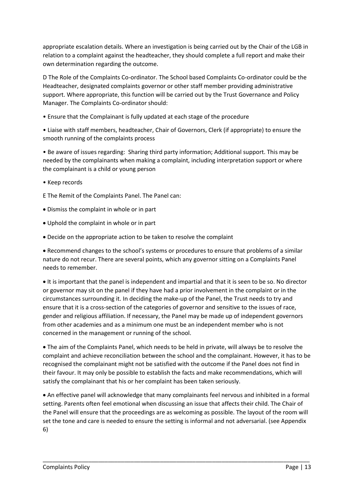appropriate escalation details. Where an investigation is being carried out by the Chair of the LGB in relation to a complaint against the headteacher, they should complete a full report and make their own determination regarding the outcome.

D The Role of the Complaints Co-ordinator. The School based Complaints Co-ordinator could be the Headteacher, designated complaints governor or other staff member providing administrative support. Where appropriate, this function will be carried out by the Trust Governance and Policy Manager. The Complaints Co-ordinator should:

• Ensure that the Complainant is fully updated at each stage of the procedure

• Liaise with staff members, headteacher, Chair of Governors, Clerk (if appropriate) to ensure the smooth running of the complaints process

• Be aware of issues regarding: Sharing third party information; Additional support. This may be needed by the complainants when making a complaint, including interpretation support or where the complainant is a child or young person

- Keep records
- E The Remit of the Complaints Panel. The Panel can:
- Dismiss the complaint in whole or in part
- Uphold the complaint in whole or in part
- Decide on the appropriate action to be taken to resolve the complaint

 Recommend changes to the school's systems or procedures to ensure that problems of a similar nature do not recur. There are several points, which any governor sitting on a Complaints Panel needs to remember.

 It is important that the panel is independent and impartial and that it is seen to be so. No director or governor may sit on the panel if they have had a prior involvement in the complaint or in the circumstances surrounding it. In deciding the make-up of the Panel, the Trust needs to try and ensure that it is a cross-section of the categories of governor and sensitive to the issues of race, gender and religious affiliation. If necessary, the Panel may be made up of independent governors from other academies and as a minimum one must be an independent member who is not concerned in the management or running of the school.

 The aim of the Complaints Panel, which needs to be held in private, will always be to resolve the complaint and achieve reconciliation between the school and the complainant. However, it has to be recognised the complainant might not be satisfied with the outcome if the Panel does not find in their favour. It may only be possible to establish the facts and make recommendations, which will satisfy the complainant that his or her complaint has been taken seriously.

 An effective panel will acknowledge that many complainants feel nervous and inhibited in a formal setting. Parents often feel emotional when discussing an issue that affects their child. The Chair of the Panel will ensure that the proceedings are as welcoming as possible. The layout of the room will set the tone and care is needed to ensure the setting is informal and not adversarial. (see Appendix 6)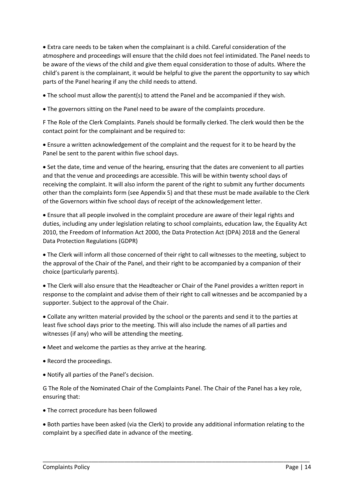Extra care needs to be taken when the complainant is a child. Careful consideration of the atmosphere and proceedings will ensure that the child does not feel intimidated. The Panel needs to be aware of the views of the child and give them equal consideration to those of adults. Where the child's parent is the complainant, it would be helpful to give the parent the opportunity to say which parts of the Panel hearing if any the child needs to attend.

The school must allow the parent(s) to attend the Panel and be accompanied if they wish.

The governors sitting on the Panel need to be aware of the complaints procedure.

F The Role of the Clerk Complaints. Panels should be formally clerked. The clerk would then be the contact point for the complainant and be required to:

 Ensure a written acknowledgement of the complaint and the request for it to be heard by the Panel be sent to the parent within five school days.

• Set the date, time and venue of the hearing, ensuring that the dates are convenient to all parties and that the venue and proceedings are accessible. This will be within twenty school days of receiving the complaint. It will also inform the parent of the right to submit any further documents other than the complaints form (see Appendix 5) and that these must be made available to the Clerk of the Governors within five school days of receipt of the acknowledgement letter.

 Ensure that all people involved in the complaint procedure are aware of their legal rights and duties, including any under legislation relating to school complaints, education law, the Equality Act 2010, the Freedom of Information Act 2000, the Data Protection Act (DPA) 2018 and the General Data Protection Regulations (GDPR)

 The Clerk will inform all those concerned of their right to call witnesses to the meeting, subject to the approval of the Chair of the Panel, and their right to be accompanied by a companion of their choice (particularly parents).

 The Clerk will also ensure that the Headteacher or Chair of the Panel provides a written report in response to the complaint and advise them of their right to call witnesses and be accompanied by a supporter. Subject to the approval of the Chair.

 Collate any written material provided by the school or the parents and send it to the parties at least five school days prior to the meeting. This will also include the names of all parties and witnesses (if any) who will be attending the meeting.

Meet and welcome the parties as they arrive at the hearing.

- Record the proceedings.
- Notify all parties of the Panel's decision.

G The Role of the Nominated Chair of the Complaints Panel. The Chair of the Panel has a key role, ensuring that:

The correct procedure has been followed

 Both parties have been asked (via the Clerk) to provide any additional information relating to the complaint by a specified date in advance of the meeting.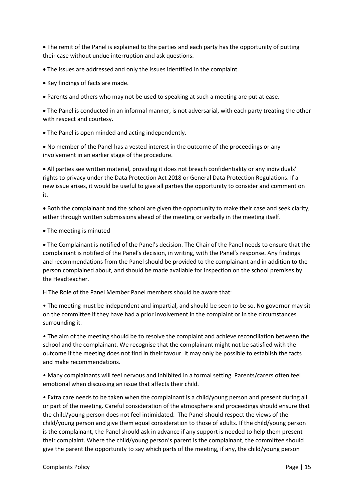The remit of the Panel is explained to the parties and each party has the opportunity of putting their case without undue interruption and ask questions.

The issues are addressed and only the issues identified in the complaint.

- Key findings of facts are made.
- Parents and others who may not be used to speaking at such a meeting are put at ease.

 The Panel is conducted in an informal manner, is not adversarial, with each party treating the other with respect and courtesy.

The Panel is open minded and acting independently.

 No member of the Panel has a vested interest in the outcome of the proceedings or any involvement in an earlier stage of the procedure.

 All parties see written material, providing it does not breach confidentiality or any individuals' rights to privacy under the Data Protection Act 2018 or General Data Protection Regulations. If a new issue arises, it would be useful to give all parties the opportunity to consider and comment on it.

 Both the complainant and the school are given the opportunity to make their case and seek clarity, either through written submissions ahead of the meeting or verbally in the meeting itself.

• The meeting is minuted

 The Complainant is notified of the Panel's decision. The Chair of the Panel needs to ensure that the complainant is notified of the Panel's decision, in writing, with the Panel's response. Any findings and recommendations from the Panel should be provided to the complainant and in addition to the person complained about, and should be made available for inspection on the school premises by the Headteacher.

H The Role of the Panel Member Panel members should be aware that:

• The meeting must be independent and impartial, and should be seen to be so. No governor may sit on the committee if they have had a prior involvement in the complaint or in the circumstances surrounding it.

• The aim of the meeting should be to resolve the complaint and achieve reconciliation between the school and the complainant. We recognise that the complainant might not be satisfied with the outcome if the meeting does not find in their favour. It may only be possible to establish the facts and make recommendations.

• Many complainants will feel nervous and inhibited in a formal setting. Parents/carers often feel emotional when discussing an issue that affects their child.

• Extra care needs to be taken when the complainant is a child/young person and present during all or part of the meeting. Careful consideration of the atmosphere and proceedings should ensure that the child/young person does not feel intimidated. The Panel should respect the views of the child/young person and give them equal consideration to those of adults. If the child/young person is the complainant, the Panel should ask in advance if any support is needed to help them present their complaint. Where the child/young person's parent is the complainant, the committee should give the parent the opportunity to say which parts of the meeting, if any, the child/young person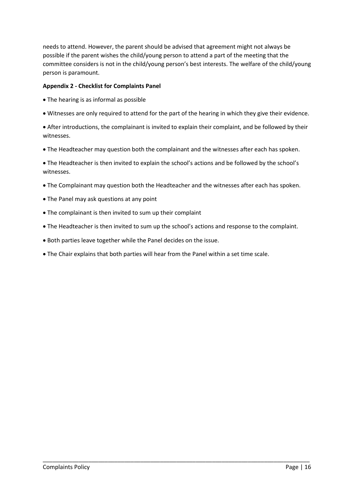needs to attend. However, the parent should be advised that agreement might not always be possible if the parent wishes the child/young person to attend a part of the meeting that the committee considers is not in the child/young person's best interests. The welfare of the child/young person is paramount.

# **Appendix 2 - Checklist for Complaints Panel**

- The hearing is as informal as possible
- Witnesses are only required to attend for the part of the hearing in which they give their evidence.

 After introductions, the complainant is invited to explain their complaint, and be followed by their witnesses.

The Headteacher may question both the complainant and the witnesses after each has spoken.

 The Headteacher is then invited to explain the school's actions and be followed by the school's witnesses.

- The Complainant may question both the Headteacher and the witnesses after each has spoken.
- The Panel may ask questions at any point
- The complainant is then invited to sum up their complaint
- The Headteacher is then invited to sum up the school's actions and response to the complaint.

- Both parties leave together while the Panel decides on the issue.
- The Chair explains that both parties will hear from the Panel within a set time scale.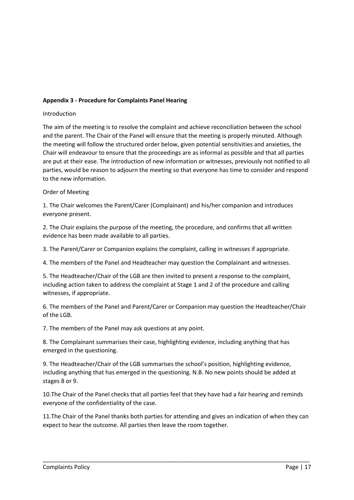# **Appendix 3 - Procedure for Complaints Panel Hearing**

## Introduction

The aim of the meeting is to resolve the complaint and achieve reconciliation between the school and the parent. The Chair of the Panel will ensure that the meeting is properly minuted. Although the meeting will follow the structured order below, given potential sensitivities and anxieties, the Chair will endeavour to ensure that the proceedings are as informal as possible and that all parties are put at their ease. The introduction of new information or witnesses, previously not notified to all parties, would be reason to adjourn the meeting so that everyone has time to consider and respond to the new information.

## Order of Meeting

1. The Chair welcomes the Parent/Carer (Complainant) and his/her companion and introduces everyone present.

2. The Chair explains the purpose of the meeting, the procedure, and confirms that all written evidence has been made available to all parties.

3. The Parent/Carer or Companion explains the complaint, calling in witnesses if appropriate.

4. The members of the Panel and Headteacher may question the Complainant and witnesses.

5. The Headteacher/Chair of the LGB are then invited to present a response to the complaint, including action taken to address the complaint at Stage 1 and 2 of the procedure and calling witnesses, if appropriate.

6. The members of the Panel and Parent/Carer or Companion may question the Headteacher/Chair of the LGB.

7. The members of the Panel may ask questions at any point.

8. The Complainant summarises their case, highlighting evidence, including anything that has emerged in the questioning.

9. The Headteacher/Chair of the LGB summarises the school's position, highlighting evidence, including anything that has emerged in the questioning. N.B. No new points should be added at stages 8 or 9.

10.The Chair of the Panel checks that all parties feel that they have had a fair hearing and reminds everyone of the confidentiality of the case.

11.The Chair of the Panel thanks both parties for attending and gives an indication of when they can expect to hear the outcome. All parties then leave the room together.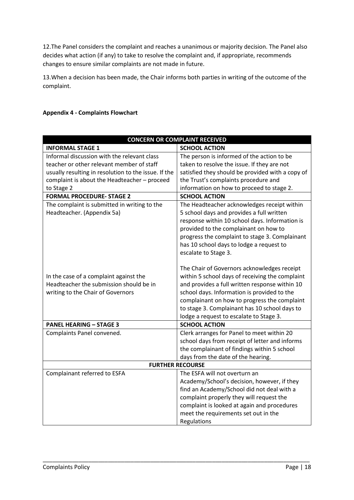12.The Panel considers the complaint and reaches a unanimous or majority decision. The Panel also decides what action (if any) to take to resolve the complaint and, if appropriate, recommends changes to ensure similar complaints are not made in future.

13.When a decision has been made, the Chair informs both parties in writing of the outcome of the complaint.

# **Appendix 4 - Complaints Flowchart**

| <b>CONCERN OR COMPLAINT RECEIVED</b>                 |                                                  |  |
|------------------------------------------------------|--------------------------------------------------|--|
| <b>INFORMAL STAGE 1</b>                              | <b>SCHOOL ACTION</b>                             |  |
| Informal discussion with the relevant class          | The person is informed of the action to be       |  |
| teacher or other relevant member of staff            | taken to resolve the issue. If they are not      |  |
| usually resulting in resolution to the issue. If the | satisfied they should be provided with a copy of |  |
| complaint is about the Headteacher - proceed         | the Trust's complaints procedure and             |  |
| to Stage 2                                           | information on how to proceed to stage 2.        |  |
| <b>FORMAL PROCEDURE- STAGE 2</b>                     | <b>SCHOOL ACTION</b>                             |  |
| The complaint is submitted in writing to the         | The Headteacher acknowledges receipt within      |  |
| Headteacher. (Appendix 5a)                           | 5 school days and provides a full written        |  |
|                                                      | response within 10 school days. Information is   |  |
|                                                      | provided to the complainant on how to            |  |
|                                                      | progress the complaint to stage 3. Complainant   |  |
|                                                      | has 10 school days to lodge a request to         |  |
|                                                      | escalate to Stage 3.                             |  |
|                                                      |                                                  |  |
|                                                      | The Chair of Governors acknowledges receipt      |  |
| In the case of a complaint against the               | within 5 school days of receiving the complaint  |  |
| Headteacher the submission should be in              | and provides a full written response within 10   |  |
| writing to the Chair of Governors                    | school days. Information is provided to the      |  |
|                                                      | complainant on how to progress the complaint     |  |
|                                                      | to stage 3. Complainant has 10 school days to    |  |
|                                                      | lodge a request to escalate to Stage 3.          |  |
| <b>PANEL HEARING - STAGE 3</b>                       | <b>SCHOOL ACTION</b>                             |  |
| Complaints Panel convened.                           | Clerk arranges for Panel to meet within 20       |  |
|                                                      | school days from receipt of letter and informs   |  |
|                                                      | the complainant of findings within 5 school      |  |
|                                                      | days from the date of the hearing.               |  |
| <b>FURTHER RECOURSE</b>                              |                                                  |  |
| Complainant referred to ESFA                         | The ESFA will not overturn an                    |  |
|                                                      | Academy/School's decision, however, if they      |  |
|                                                      | find an Academy/School did not deal with a       |  |
|                                                      | complaint properly they will request the         |  |
|                                                      | complaint is looked at again and procedures      |  |
|                                                      | meet the requirements set out in the             |  |
|                                                      | Regulations                                      |  |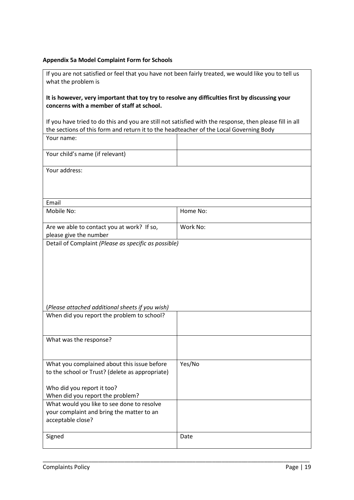# **Appendix 5a Model Complaint Form for Schools**

| If you are not satisfied or feel that you have not been fairly treated, we would like you to tell us                                          |                                                                                                                                                                                                   |  |
|-----------------------------------------------------------------------------------------------------------------------------------------------|---------------------------------------------------------------------------------------------------------------------------------------------------------------------------------------------------|--|
| what the problem is                                                                                                                           |                                                                                                                                                                                                   |  |
| It is however, very important that toy try to resolve any difficulties first by discussing your<br>concerns with a member of staff at school. |                                                                                                                                                                                                   |  |
|                                                                                                                                               | If you have tried to do this and you are still not satisfied with the response, then please fill in all<br>the sections of this form and return it to the headteacher of the Local Governing Body |  |
| Your name:                                                                                                                                    |                                                                                                                                                                                                   |  |
| Your child's name (if relevant)                                                                                                               |                                                                                                                                                                                                   |  |
| Your address:                                                                                                                                 |                                                                                                                                                                                                   |  |
|                                                                                                                                               |                                                                                                                                                                                                   |  |
| Email                                                                                                                                         |                                                                                                                                                                                                   |  |
| Mobile No:                                                                                                                                    | Home No:                                                                                                                                                                                          |  |
| Are we able to contact you at work? If so,<br>please give the number                                                                          | Work No:                                                                                                                                                                                          |  |
| Detail of Complaint (Please as specific as possible)                                                                                          |                                                                                                                                                                                                   |  |
|                                                                                                                                               |                                                                                                                                                                                                   |  |
|                                                                                                                                               |                                                                                                                                                                                                   |  |
|                                                                                                                                               |                                                                                                                                                                                                   |  |
|                                                                                                                                               |                                                                                                                                                                                                   |  |
|                                                                                                                                               |                                                                                                                                                                                                   |  |
|                                                                                                                                               |                                                                                                                                                                                                   |  |
| (Please attached additional sheets if you wish)                                                                                               |                                                                                                                                                                                                   |  |
| When did you report the problem to school?                                                                                                    |                                                                                                                                                                                                   |  |
|                                                                                                                                               |                                                                                                                                                                                                   |  |
| What was the response?                                                                                                                        |                                                                                                                                                                                                   |  |
|                                                                                                                                               |                                                                                                                                                                                                   |  |
|                                                                                                                                               |                                                                                                                                                                                                   |  |
| What you complained about this issue before                                                                                                   | Yes/No                                                                                                                                                                                            |  |
| to the school or Trust? (delete as appropriate)                                                                                               |                                                                                                                                                                                                   |  |
| Who did you report it too?                                                                                                                    |                                                                                                                                                                                                   |  |
| When did you report the problem?                                                                                                              |                                                                                                                                                                                                   |  |
| What would you like to see done to resolve                                                                                                    |                                                                                                                                                                                                   |  |
| your complaint and bring the matter to an                                                                                                     |                                                                                                                                                                                                   |  |
| acceptable close?                                                                                                                             |                                                                                                                                                                                                   |  |
|                                                                                                                                               |                                                                                                                                                                                                   |  |
| Signed                                                                                                                                        | Date                                                                                                                                                                                              |  |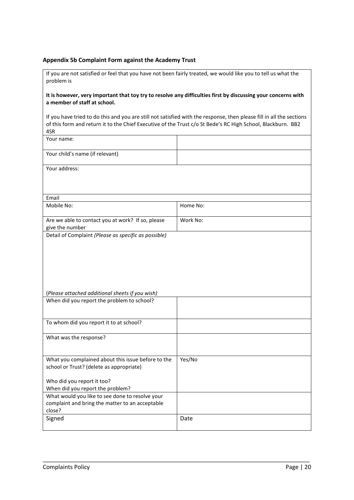#### **Appendix 5b Complaint Form against the Academy Trust**

If you are not satisfied or feel that you have not been fairly treated, we would like you to tell us what the problem is

#### **It is however, very important that toy try to resolve any difficulties first by discussing your concerns with a member of staff at school.**

If you have tried to do this and you are still not satisfied with the response, then please fill in all the sections of this form and return it to the Chief Executive of the Trust c/o St Bede's RC High School, Blackburn. BB2 4SR

| エンハ                                                                                                     |          |
|---------------------------------------------------------------------------------------------------------|----------|
| Your name:                                                                                              |          |
| Your child's name (if relevant)                                                                         |          |
| Your address:                                                                                           |          |
|                                                                                                         |          |
| Email                                                                                                   |          |
| Mobile No:                                                                                              | Home No: |
| Are we able to contact you at work? If so, please                                                       | Work No: |
| give the number                                                                                         |          |
| Detail of Complaint (Please as specific as possible)<br>(Please attached additional sheets if you wish) |          |
| When did you report the problem to school?                                                              |          |
| To whom did you report it to at school?                                                                 |          |
| What was the response?                                                                                  |          |

| What you complained about this issue before to the<br>school or Trust? (delete as appropriate) | Yes/No |
|------------------------------------------------------------------------------------------------|--------|
|                                                                                                |        |
| Who did you report it too?                                                                     |        |
| When did you report the problem?                                                               |        |
| What would you like to see done to resolve your                                                |        |
| complaint and bring the matter to an acceptable                                                |        |
| close?                                                                                         |        |
| Signed                                                                                         | Date   |
|                                                                                                |        |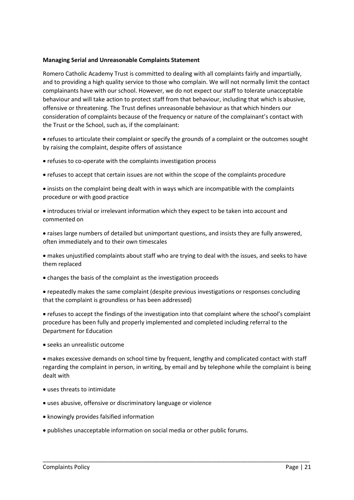## **Managing Serial and Unreasonable Complaints Statement**

Romero Catholic Academy Trust is committed to dealing with all complaints fairly and impartially, and to providing a high quality service to those who complain. We will not normally limit the contact complainants have with our school. However, we do not expect our staff to tolerate unacceptable behaviour and will take action to protect staff from that behaviour, including that which is abusive, offensive or threatening. The Trust defines unreasonable behaviour as that which hinders our consideration of complaints because of the frequency or nature of the complainant's contact with the Trust or the School, such as, if the complainant:

 refuses to articulate their complaint or specify the grounds of a complaint or the outcomes sought by raising the complaint, despite offers of assistance

- refuses to co-operate with the complaints investigation process
- refuses to accept that certain issues are not within the scope of the complaints procedure
- insists on the complaint being dealt with in ways which are incompatible with the complaints procedure or with good practice
- introduces trivial or irrelevant information which they expect to be taken into account and commented on
- raises large numbers of detailed but unimportant questions, and insists they are fully answered, often immediately and to their own timescales
- makes unjustified complaints about staff who are trying to deal with the issues, and seeks to have them replaced
- changes the basis of the complaint as the investigation proceeds
- repeatedly makes the same complaint (despite previous investigations or responses concluding that the complaint is groundless or has been addressed)
- refuses to accept the findings of the investigation into that complaint where the school's complaint procedure has been fully and properly implemented and completed including referral to the Department for Education
- seeks an unrealistic outcome

 makes excessive demands on school time by frequent, lengthy and complicated contact with staff regarding the complaint in person, in writing, by email and by telephone while the complaint is being dealt with

- uses threats to intimidate
- uses abusive, offensive or discriminatory language or violence
- knowingly provides falsified information
- publishes unacceptable information on social media or other public forums.